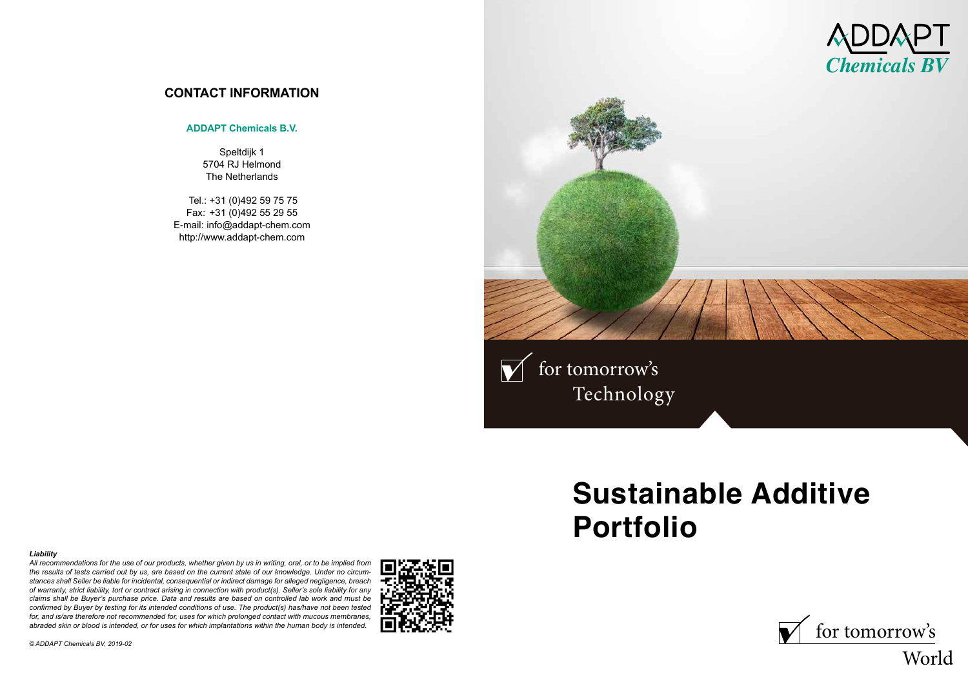# **Sustainable Additive Portfolio**

### **CONTACT INFORMATION**

**ADDAPT Chemicals B.V.**

Speltdijk 1 5704 RJ Helmond The Netherlands

 Tel.: +31 (0)492 59 75 75 Fax: +31 (0)492 55 29 55 E-mail: info@addapt-chem.com http://www.addapt-chem.com

### *Liability*

*All recommendations for the use of our products, whether given by us in writing, oral, or to be implied from the results of tests carried out by us, are based on the current state of our knowledge. Under no circumstances shall Seller be liable for incidental, consequential or indirect damage for alleged negligence, breach of warranty, strict liability, tort or contract arising in connection with product(s). Seller's sole liability for any claims shall be Buyer's purchase price. Data and results are based on controlled lab work and must be confirmed by Buyer by testing for its intended conditions of use. The product(s) has/have not been tested for, and is/are therefore not recommended for, uses for which prolonged contact with mucous membranes, abraded skin or blood is intended, or for uses for which implantations within the human body is intended.* 



*© ADDAPT Chemicals BV, 2019-02*